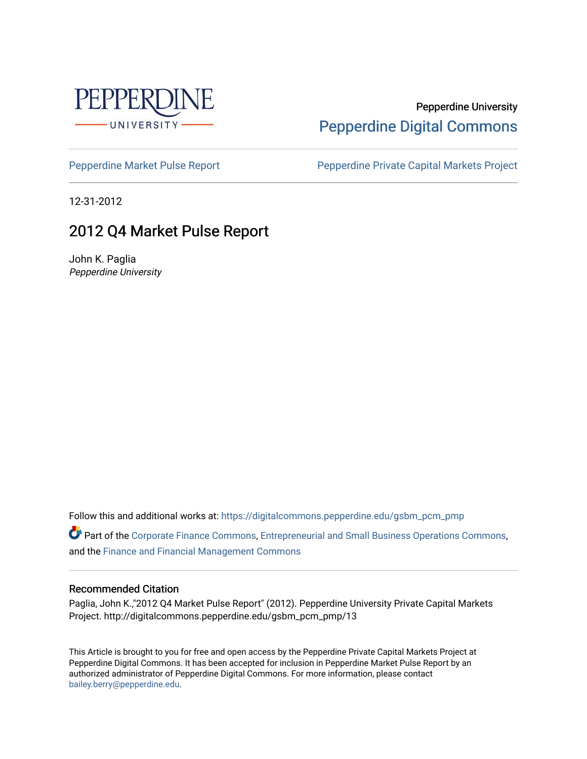

### Pepperdine University [Pepperdine Digital Commons](https://digitalcommons.pepperdine.edu/)

[Pepperdine Market Pulse Report](https://digitalcommons.pepperdine.edu/gsbm_pcm_pmp) Pepperdine Private Capital Markets Project

12-31-2012

### 2012 Q4 Market Pulse Report

John K. Paglia Pepperdine University

Follow this and additional works at: [https://digitalcommons.pepperdine.edu/gsbm\\_pcm\\_pmp](https://digitalcommons.pepperdine.edu/gsbm_pcm_pmp?utm_source=digitalcommons.pepperdine.edu%2Fgsbm_pcm_pmp%2F13&utm_medium=PDF&utm_campaign=PDFCoverPages) 

Part of the [Corporate Finance Commons](http://network.bepress.com/hgg/discipline/629?utm_source=digitalcommons.pepperdine.edu%2Fgsbm_pcm_pmp%2F13&utm_medium=PDF&utm_campaign=PDFCoverPages), [Entrepreneurial and Small Business Operations Commons](http://network.bepress.com/hgg/discipline/630?utm_source=digitalcommons.pepperdine.edu%2Fgsbm_pcm_pmp%2F13&utm_medium=PDF&utm_campaign=PDFCoverPages), and the [Finance and Financial Management Commons](http://network.bepress.com/hgg/discipline/631?utm_source=digitalcommons.pepperdine.edu%2Fgsbm_pcm_pmp%2F13&utm_medium=PDF&utm_campaign=PDFCoverPages) 

#### Recommended Citation

Paglia, John K.,"2012 Q4 Market Pulse Report" (2012). Pepperdine University Private Capital Markets Project. http://digitalcommons.pepperdine.edu/gsbm\_pcm\_pmp/13

This Article is brought to you for free and open access by the Pepperdine Private Capital Markets Project at Pepperdine Digital Commons. It has been accepted for inclusion in Pepperdine Market Pulse Report by an authorized administrator of Pepperdine Digital Commons. For more information, please contact [bailey.berry@pepperdine.edu](mailto:bailey.berry@pepperdine.edu).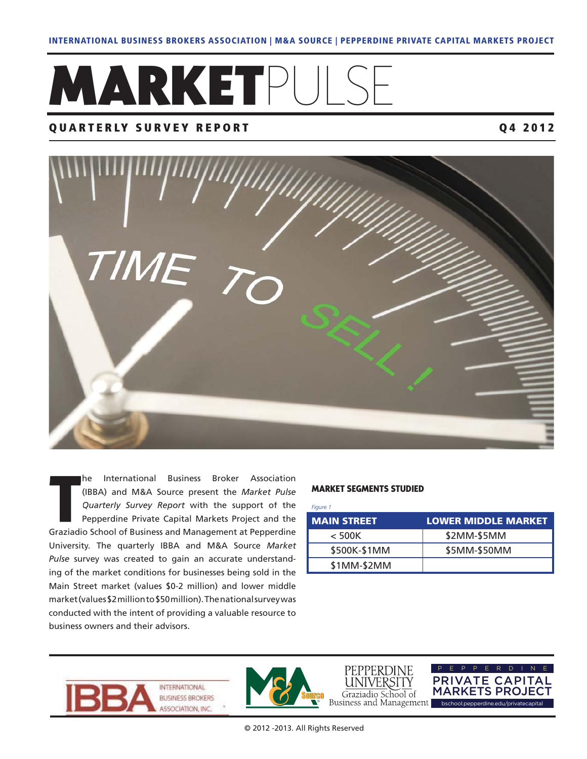# **MARKET**PULS

#### **QUARTERLY SURVEY REPORT Q4 2012**



he International Business Broker Association (IBBA) and M&A Source present the *Market Pulse Quarterly Survey Report* with the support of the Pepperdine Private Capital Markets Project and the Graziadio School of Business and Management at Pepperdine University. The quarterly IBBA and M&A Source *Market Pulse* survey was created to gain an accurate understanding of the market conditions for businesses being sold in the Main Street market (values \$0-2 million) and lower middle market (values \$2 million to \$50 million). The national survey was conducted with the intent of providing a valuable resource to business owners and their advisors.

#### **MARKET SEGMENTS STUDIED**

*Figure 1*

| <b>MAIN STREET</b> | <b>LOWER MIDDLE MARKET</b> |
|--------------------|----------------------------|
| $<$ 500K           | \$2MM-\$5MM                |
| \$500K-\$1MM       | \$5MM-\$50MM               |
| \$1MM-\$2MM        |                            |





PEPPERDINE UNIVERSITY

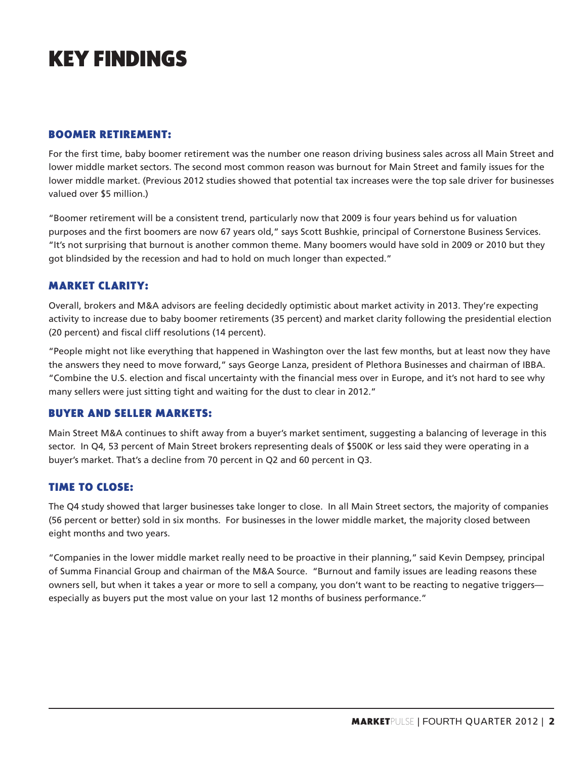## **KEY FINDINGS**

#### **BOOMER RETIREMENT:**

For the first time, baby boomer retirement was the number one reason driving business sales across all Main Street and lower middle market sectors. The second most common reason was burnout for Main Street and family issues for the lower middle market. (Previous 2012 studies showed that potential tax increases were the top sale driver for businesses valued over \$5 million.)

"Boomer retirement will be a consistent trend, particularly now that 2009 is four years behind us for valuation purposes and the first boomers are now 67 years old," says Scott Bushkie, principal of Cornerstone Business Services. "It's not surprising that burnout is another common theme. Many boomers would have sold in 2009 or 2010 but they got blindsided by the recession and had to hold on much longer than expected."

#### **MARKET CLARITY:**

Overall, brokers and M&A advisors are feeling decidedly optimistic about market activity in 2013. They're expecting activity to increase due to baby boomer retirements (35 percent) and market clarity following the presidential election (20 percent) and fiscal cliff resolutions (14 percent).

"People might not like everything that happened in Washington over the last few months, but at least now they have the answers they need to move forward," says George Lanza, president of Plethora Businesses and chairman of IBBA. "Combine the U.S. election and fiscal uncertainty with the financial mess over in Europe, and it's not hard to see why many sellers were just sitting tight and waiting for the dust to clear in 2012."

#### **BUYER AND SELLER MARKETS:**

Main Street M&A continues to shift away from a buyer's market sentiment, suggesting a balancing of leverage in this sector. In Q4, 53 percent of Main Street brokers representing deals of \$500K or less said they were operating in a buyer's market. That's a decline from 70 percent in Q2 and 60 percent in Q3.

#### **TIME TO CLOSE:**

The Q4 study showed that larger businesses take longer to close. In all Main Street sectors, the majority of companies (56 percent or better) sold in six months. For businesses in the lower middle market, the majority closed between eight months and two years.

"Companies in the lower middle market really need to be proactive in their planning," said Kevin Dempsey, principal of Summa Financial Group and chairman of the M&A Source. "Burnout and family issues are leading reasons these owners sell, but when it takes a year or more to sell a company, you don't want to be reacting to negative triggers especially as buyers put the most value on your last 12 months of business performance."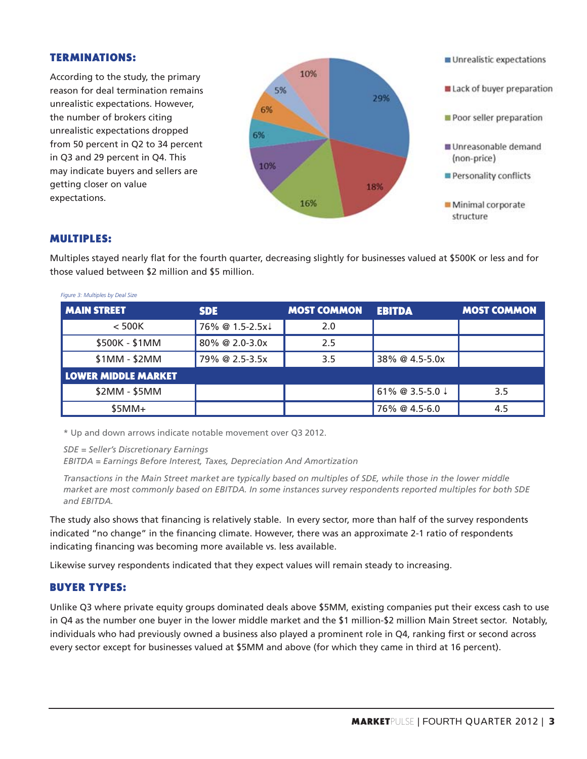#### **TERMINATIONS:**

According to the study, the primary reason for deal termination remains unrealistic expectations. However, the number of brokers citing unrealistic expectations dropped from 50 percent in Q2 to 34 percent in Q3 and 29 percent in Q4. This may indicate buyers and sellers are getting closer on value expectations.



#### **MULTIPLES:**

Figure 2: Multiples by Deal Size

Multiples stayed nearly flat for the fourth quarter, decreasing slightly for businesses valued at \$500K or less and for those valued between \$2 million and \$5 million.

| <i>rigare 5. Imalaples by Deal Size</i> |                 |                    |                 |                    |  |  |
|-----------------------------------------|-----------------|--------------------|-----------------|--------------------|--|--|
| <b>MAIN STREET</b>                      | <b>SDE</b>      | <b>MOST COMMON</b> | <b>EBITDA</b>   | <b>MOST COMMON</b> |  |  |
| $<$ 500K                                | 76% @ 1.5-2.5x↓ | 2.0                |                 |                    |  |  |
| \$500K - \$1MM                          | 80% @ 2.0-3.0x  | 2.5                |                 |                    |  |  |
| $$1MM - $2MM$                           | 79% @ 2.5-3.5x  | 3.5                | 38% @ 4.5-5.0x  |                    |  |  |
| <b>LOWER MIDDLE MARKET</b>              |                 |                    |                 |                    |  |  |
| \$2MM - \$5MM                           |                 |                    | 61% @ 3.5-5.0 ↓ | 3.5                |  |  |
| $$5MM+$                                 |                 |                    | 76% @ 4.5-6.0   | 4.5                |  |  |

\* Up and down arrows indicate notable movement over Q3 2012.

*SDE = Seller's Discretionary Earnings* 

*EBITDA = Earnings Before Interest, Taxes, Depreciation And Amortization* 

*Transactions in the Main Street market are typically based on multiples of SDE, while those in the lower middle market are most commonly based on EBITDA. In some instances survey respondents reported multiples for both SDE and EBITDA.*

The study also shows that financing is relatively stable. In every sector, more than half of the survey respondents indicated "no change" in the financing climate. However, there was an approximate 2-1 ratio of respondents indicating financing was becoming more available vs. less available.

Likewise survey respondents indicated that they expect values will remain steady to increasing.

#### **BUYER TYPES:**

Unlike Q3 where private equity groups dominated deals above \$5MM, existing companies put their excess cash to use in Q4 as the number one buyer in the lower middle market and the \$1 million-\$2 million Main Street sector. Notably, individuals who had previously owned a business also played a prominent role in Q4, ranking first or second across every sector except for businesses valued at \$5MM and above (for which they came in third at 16 percent).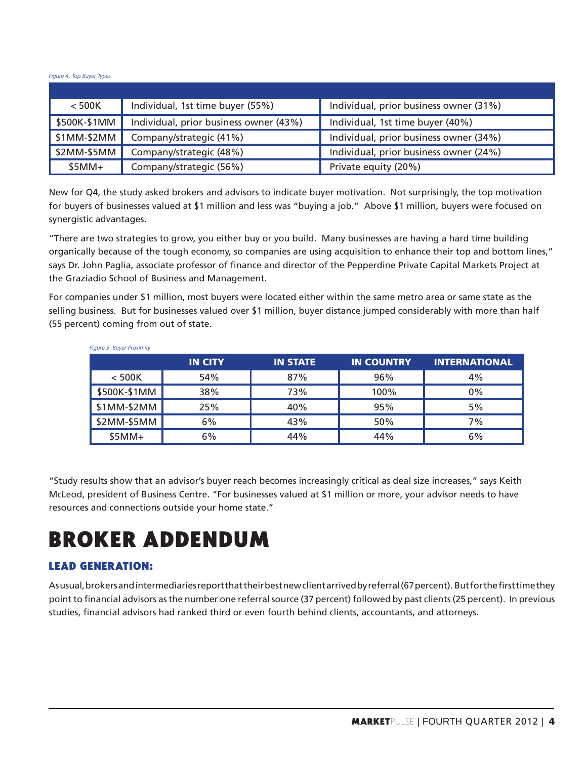*Figure 4: Top Buyer Types*

| $<$ 500K     | Individual, 1st time buyer (55%)       | Individual, prior business owner (31%) |
|--------------|----------------------------------------|----------------------------------------|
| \$500K-\$1MM | Individual, prior business owner (43%) | Individual, 1st time buyer (40%)       |
| $$1MM-$2MM$  | Company/strategic (41%)                | Individual, prior business owner (34%) |
| \$2MM-\$5MM  | Company/strategic (48%)                | Individual, prior business owner (24%) |
| $$5MM+$      | Company/strategic (56%)                | Private equity (20%)                   |

New for Q4, the study asked brokers and advisors to indicate buyer motivation. Not surprisingly, the top motivation for buyers of businesses valued at \$1 million and less was "buying a job." Above \$1 million, buyers were focused on synergistic advantages.

"There are two strategies to grow, you either buy or you build. Many businesses are having a hard time building organically because of the tough economy, so companies are using acquisition to enhance their top and bottom lines," says Dr. John Paglia, associate professor of finance and director of the Pepperdine Private Capital Markets Project at the Graziadio School of Business and Management.

For companies under \$1 million, most buyers were located either within the same metro area or same state as the selling business. But for businesses valued over \$1 million, buyer distance jumped considerably with more than half (55 percent) coming from out of state.

|              | <b>IN CITY</b> | <b>IN STATE</b> | <b>IN COUNTRY</b> | <b>INTERNATIONAL</b> |  |  |
|--------------|----------------|-----------------|-------------------|----------------------|--|--|
| $<$ 500K     | 54%            | 87%             | 96%               | 4%                   |  |  |
| \$500K-\$1MM | 38%            | 73%             | 100%              | $0\%$                |  |  |
| \$1MM-\$2MM  | 25%            | 40%             | 95%               | 5%                   |  |  |
| \$2MM-\$5MM  | 6%             | 43%             | 50%               | 7%                   |  |  |
| $$5MM+$      | 6%             | 44%             | 44%               | 6%                   |  |  |

Figure 5: Buver Proximity

"Study results show that an advisor's buyer reach becomes increasingly critical as deal size increases," says Keith McLeod, president of Business Centre. "For businesses valued at \$1 million or more, your advisor needs to have resources and connections outside your home state."

## **BROKER ADDENDUM**

#### **LEAD GENERATION:**

As usual, brokers and intermediaries report that their best new client arrived by referral (67 percent). But for the first time they point to financial advisors as the number one referral source (37 percent) followed by past clients (25 percent). In previous studies, financial advisors had ranked third or even fourth behind clients, accountants, and attorneys.